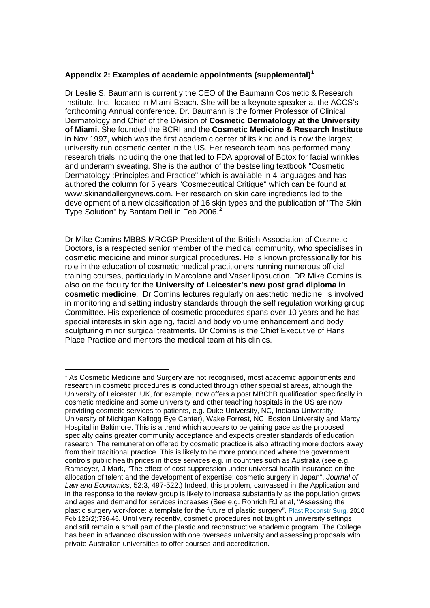## **Appendix 2: Examples of academic appointments (supplemental)[1](#page-0-0)**

Dr Leslie S. Baumann is currently the CEO of the Baumann Cosmetic & Research Institute, Inc., located in Miami Beach. She will be a keynote speaker at the ACCS's forthcoming Annual conference. Dr. Baumann is the former Professor of Clinical Dermatology and Chief of the Division of **Cosmetic Dermatology at the University of Miami.** She founded the BCRI and the **Cosmetic Medicine & Research Institute**  in Nov 1997, which was the first academic center of its kind and is now the largest university run cosmetic center in the US. Her research team has performed many research trials including the one that led to FDA approval of Botox for facial wrinkles and underarm sweating. She is the author of the [bestselling textbook "Cosmetic](http://www.amazon.com/gp/product/0071490620?ie=UTF8&tag=skitypsolinc-20&linkCode=as2&camp=1789&creative=9325&creativeASIN=0071490620)  [Dermatology :Principles and Practice"](http://www.amazon.com/gp/product/0071490620?ie=UTF8&tag=skitypsolinc-20&linkCode=as2&camp=1789&creative=9325&creativeASIN=0071490620) which is available in 4 languages and has authored the column for 5 years ["Cosmeceutical Critique"](http://www.skinandallergynews.com/index.php?id=187) which can be found at [www.skinandallergynews.com.](http://www.skinandallergynews.com/index.php?id=187) Her research on skin care ingredients led to the development of a new classification of 16 skin types and the publication of "The Skin Type Solution" by Bantam Dell in Feb [2](#page-0-1)006.<sup>2</sup>

Dr Mike Comins MBBS MRCGP President of the British Association of Cosmetic Doctors, is a respected senior member of the medical community, who specialises in cosmetic medicine and minor surgical procedures. He is known professionally for his role in the education of cosmetic medical practitioners running numerous official training courses, particularly in Marcolane and Vaser liposuction. DR Mike Comins is also on the faculty for the **University of Leicester's new post grad diploma in cosmetic medicine**. Dr Comins lectures regularly on aesthetic medicine, is involved in monitoring and setting industry standards through the self regulation working group Committee. His experience of cosmetic procedures spans over 10 years and he has special interests in skin ageing, facial and body volume enhancement and body sculpturing minor surgical treatments. Dr Comins is the Chief Executive of Hans Place Practice and mentors the medical team at his clinics.

<span id="page-0-1"></span><span id="page-0-0"></span> $1$  As Cosmetic Medicine and Surgery are not recognised, most academic appointments and research in cosmetic procedures is conducted through other specialist areas, although the University of Leicester, UK, for example, now offers a post MBChB qualification specifically in cosmetic medicine and some university and other teaching hospitals in the US are now providing cosmetic services to patients, e.g. Duke University, NC, Indiana University, University of Michigan Kellogg Eye Center), Wake Forrest, NC, Boston University and Mercy Hospital in Baltimore. This is a trend which appears to be gaining pace as the proposed specialty gains greater community acceptance and expects greater standards of education research. The remuneration offered by cosmetic practice is also attracting more doctors away from their traditional practice. This is likely to be more pronounced where the government controls public health prices in those services e.g. in countries such as Australia (see e.g. Ramseyer, J Mark, "The effect of cost suppression under universal health insurance on the allocation of talent and the development of expertise: cosmetic surgery in Japan", *Journal of Law and Economics*, 52:3, 497-522.) Indeed, this problem, canvassed in the Application and in the response to the review group is likely to increase substantially as the population grows and ages and demand for services increases (See e.g. Rohrich RJ et al, "Assessing the plastic surgery workforce: a template for the future of plastic surgery". [Plast Reconstr Surg.](javascript:AL_get(this,%20) 2010 Feb;125(2):736-46. Until very recently, cosmetic procedures not taught in university settings and still remain a small part of the plastic and reconstructive academic program. The College has been in advanced discussion with one overseas university and assessing proposals with private Australian universities to offer courses and accreditation.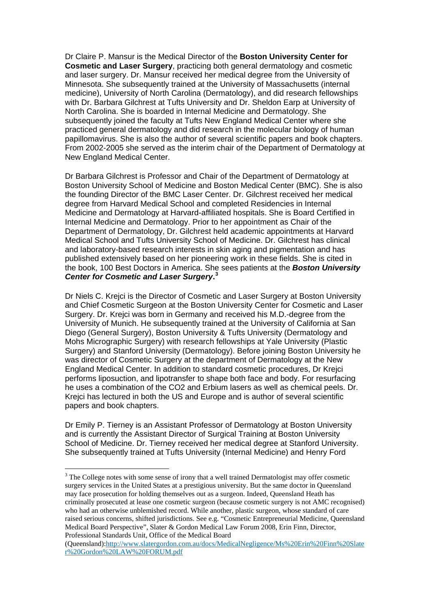Dr Claire P. Mansur is the Medical Director of the **Boston University Center for Cosmetic and Laser Surgery**, practicing both general dermatology and cosmetic and laser surgery. Dr. Mansur received her medical degree from the University of Minnesota. She subsequently trained at the University of Massachusetts (internal medicine), University of North Carolina (Dermatology), and did research fellowships with Dr. Barbara Gilchrest at Tufts University and Dr. Sheldon Earp at University of North Carolina. She is boarded in Internal Medicine and Dermatology. She subsequently joined the faculty at Tufts New England Medical Center where she practiced general dermatology and did research in the molecular biology of human papillomavirus. She is also the author of several scientific papers and book chapters. From 2002-2005 she served as the interim chair of the Department of Dermatology at New England Medical Center.

Dr Barbara Gilchrest is Professor and Chair of the Department of Dermatology at Boston University School of Medicine and Boston Medical Center (BMC). She is also the founding Director of the BMC Laser Center. Dr. Gilchrest received her medical degree from Harvard Medical School and completed Residencies in Internal Medicine and Dermatology at Harvard-affiliated hospitals. She is Board Certified in Internal Medicine and Dermatology. Prior to her appointment as Chair of the Department of Dermatology, Dr. Gilchrest held academic appointments at Harvard Medical School and Tufts University School of Medicine. Dr. Gilchrest has clinical and laboratory-based research interests in skin aging and pigmentation and has published extensively based on her pioneering work in these fields. She is cited in the book, 100 Best Doctors in America. She sees patients at the *Boston University Center for Cosmetic and Laser Surgery***. [3](#page-1-0)**

Dr Niels C. Krejci is the Director of Cosmetic and Laser Surgery at Boston University and Chief Cosmetic Surgeon at the Boston University Center for Cosmetic and Laser Surgery. Dr. Krejci was born in Germany and received his M.D.-degree from the University of Munich. He subsequently trained at the University of California at San Diego (General Surgery), Boston University & Tufts University (Dermatology and Mohs Micrographic Surgery) with research fellowships at Yale University (Plastic Surgery) and Stanford University (Dermatology). Before joining Boston University he was director of Cosmetic Surgery at the department of Dermatology at the New England Medical Center. In addition to standard cosmetic procedures, Dr Krejci performs liposuction, and lipotransfer to shape both face and body. For resurfacing he uses a combination of the CO2 and Erbium lasers as well as chemical peels. Dr. Krejci has lectured in both the US and Europe and is author of several scientific papers and book chapters.

Dr Emily P. Tierney is an Assistant Professor of Dermatology at Boston University and is currently the Assistant Director of Surgical Training at Boston University School of Medicine. Dr. Tierney received her medical degree at Stanford University. She subsequently trained at Tufts University (Internal Medicine) and Henry Ford

<span id="page-1-0"></span><sup>3</sup> The College notes with some sense of irony that a well trained Dermatologist may offer cosmetic surgery services in the United States at a prestigious university. But the same doctor in Queensland may face prosecution for holding themselves out as a surgeon. Indeed, Queensland Heath has criminally prosecuted at lease one cosmetic surgeon (because cosmetic surgery is not AMC recognised) who had an otherwise unblemished record. While another, plastic surgeon, whose standard of care raised serious concerns, shifted jurisdictions. See e.g. "Cosmetic Entrepreneurial Medicine, Queensland Medical Board Perspective", Slater & Gordon Medical Law Forum 2008, Erin Finn, Director, Professional Standards Unit, Office of the Medical Board

<sup>(</sup>Queensland)[:http://www.slatergordon.com.au/docs/MedicalNegligence/Ms%20Erin%20Finn%20Slate](http://www.slatergordon.com.au/docs/MedicalNegligence/Ms%20Erin%20Finn%20Slater%20Gordon%20LAW%20FORUM.pdf) [r%20Gordon%20LAW%20FORUM.pdf](http://www.slatergordon.com.au/docs/MedicalNegligence/Ms%20Erin%20Finn%20Slater%20Gordon%20LAW%20FORUM.pdf)